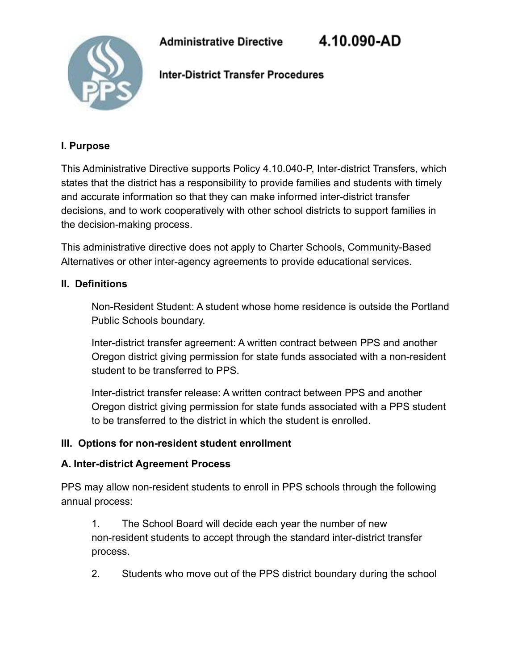4.10.090-AD



**Inter-District Transfer Procedures** 

#### **I. Purpose**

This Administrative Directive supports Policy 4.10.040-P, Inter-district Transfers, which states that the district has a responsibility to provide families and students with timely and accurate information so that they can make informed inter-district transfer decisions, and to work cooperatively with other school districts to support families in the decision-making process.

This administrative directive does not apply to Charter Schools, Community-Based Alternatives or other inter-agency agreements to provide educational services.

#### **II. Definitions**

Non-Resident Student: A student whose home residence is outside the Portland Public Schools boundary.

Inter-district transfer agreement: A written contract between PPS and another Oregon district giving permission for state funds associated with a non-resident student to be transferred to PPS.

Inter-district transfer release: A written contract between PPS and another Oregon district giving permission for state funds associated with a PPS student to be transferred to the district in which the student is enrolled.

#### **III. Options for non-resident student enrollment**

#### **A. Inter-district Agreement Process**

PPS may allow non-resident students to enroll in PPS schools through the following annual process:

1. The School Board will decide each year the number of new non-resident students to accept through the standard inter-district transfer process.

2. Students who move out of the PPS district boundary during the school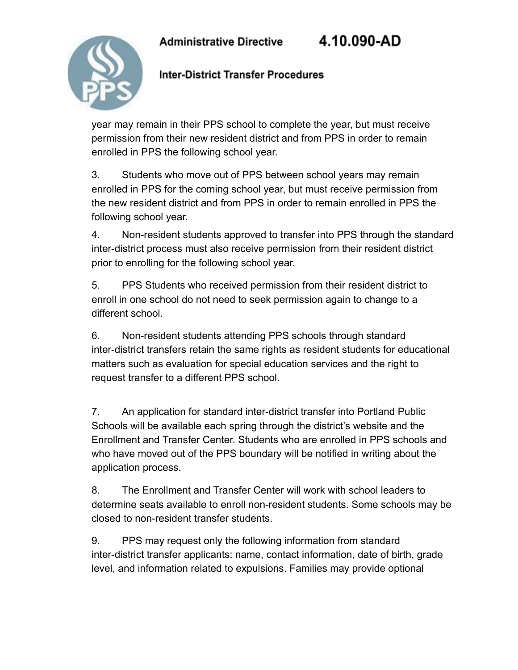4.10.090-AD



### **Inter-District Transfer Procedures**

year may remain in their PPS school to complete the year, but must receive permission from their new resident district and from PPS in order to remain enrolled in PPS the following school year.

3. Students who move out of PPS between school years may remain enrolled in PPS for the coming school year, but must receive permission from the new resident district and from PPS in order to remain enrolled in PPS the following school year.

4. Non-resident students approved to transfer into PPS through the standard inter-district process must also receive permission from their resident district prior to enrolling for the following school year.

5. PPS Students who received permission from their resident district to enroll in one school do not need to seek permission again to change to a different school.

6. Non-resident students attending PPS schools through standard inter-district transfers retain the same rights as resident students for educational matters such as evaluation for special education services and the right to request transfer to a different PPS school.

7. An application for standard inter-district transfer into Portland Public Schools will be available each spring through the district's website and the Enrollment and Transfer Center. Students who are enrolled in PPS schools and who have moved out of the PPS boundary will be notified in writing about the application process.

8. The Enrollment and Transfer Center will work with school leaders to determine seats available to enroll non-resident students. Some schools may be closed to non-resident transfer students.

9. PPS may request only the following information from standard inter-district transfer applicants: name, contact information, date of birth, grade level, and information related to expulsions. Families may provide optional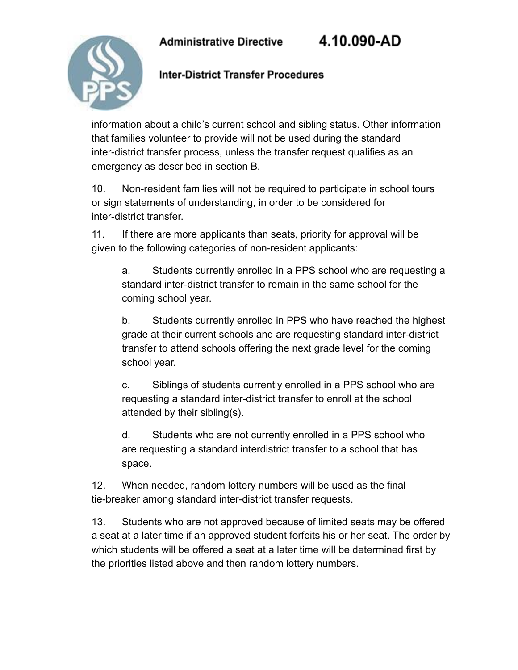4.10.090-AD



#### **Inter-District Transfer Procedures**

information about a child's current school and sibling status. Other information that families volunteer to provide will not be used during the standard inter-district transfer process, unless the transfer request qualifies as an emergency as described in section B.

10. Non-resident families will not be required to participate in school tours or sign statements of understanding, in order to be considered for inter-district transfer.

11. If there are more applicants than seats, priority for approval will be given to the following categories of non-resident applicants:

a. Students currently enrolled in a PPS school who are requesting a standard inter-district transfer to remain in the same school for the coming school year.

b. Students currently enrolled in PPS who have reached the highest grade at their current schools and are requesting standard inter-district transfer to attend schools offering the next grade level for the coming school year.

c. Siblings of students currently enrolled in a PPS school who are requesting a standard inter-district transfer to enroll at the school attended by their sibling(s).

d. Students who are not currently enrolled in a PPS school who are requesting a standard interdistrict transfer to a school that has space.

12. When needed, random lottery numbers will be used as the final tie-breaker among standard inter-district transfer requests.

13. Students who are not approved because of limited seats may be offered a seat at a later time if an approved student forfeits his or her seat. The order by which students will be offered a seat at a later time will be determined first by the priorities listed above and then random lottery numbers.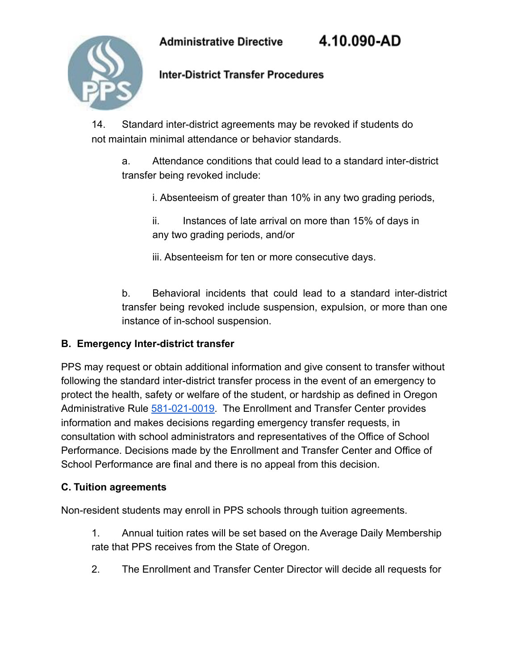4.10.090-AD



**Inter-District Transfer Procedures** 

14. Standard inter-district agreements may be revoked if students do not maintain minimal attendance or behavior standards.

a. Attendance conditions that could lead to a standard inter-district transfer being revoked include:

i. Absenteeism of greater than 10% in any two grading periods,

ii. Instances of late arrival on more than 15% of days in any two grading periods, and/or

iii. Absenteeism for ten or more consecutive days.

b. Behavioral incidents that could lead to a standard inter-district transfer being revoked include suspension, expulsion, or more than one instance of in-school suspension.

#### **B. Emergency Inter-district transfer**

PPS may request or obtain additional information and give consent to transfer without following the standard inter-district transfer process in the event of an emergency to protect the health, safety or welfare of the student, or hardship as defined in Oregon Administrative Rule [581-021-0019.](https://secure.sos.state.or.us/oard/viewSingleRule.action?ruleVrsnRsn=144548) The Enrollment and Transfer Center provides information and makes decisions regarding emergency transfer requests, in consultation with school administrators and representatives of the Office of School Performance. Decisions made by the Enrollment and Transfer Center and Office of School Performance are final and there is no appeal from this decision.

#### **C. Tuition agreements**

Non-resident students may enroll in PPS schools through tuition agreements.

1. Annual tuition rates will be set based on the Average Daily Membership rate that PPS receives from the State of Oregon.

2. The Enrollment and Transfer Center Director will decide all requests for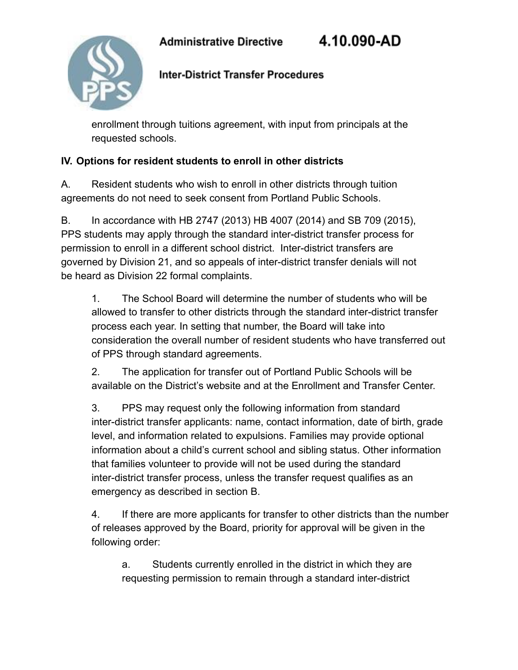4.10.090-AD



# **Inter-District Transfer Procedures**

enrollment through tuitions agreement, with input from principals at the requested schools.

# **IV. Options for resident students to enroll in other districts**

A. Resident students who wish to enroll in other districts through tuition agreements do not need to seek consent from Portland Public Schools.

B. In accordance with HB 2747 (2013) HB 4007 (2014) and SB 709 (2015), PPS students may apply through the standard inter-district transfer process for permission to enroll in a different school district. Inter-district transfers are governed by Division 21, and so appeals of inter-district transfer denials will not be heard as Division 22 formal complaints.

1. The School Board will determine the number of students who will be allowed to transfer to other districts through the standard inter-district transfer process each year. In setting that number, the Board will take into consideration the overall number of resident students who have transferred out of PPS through standard agreements.

2. The application for transfer out of Portland Public Schools will be available on the District's website and at the Enrollment and Transfer Center.

3. PPS may request only the following information from standard inter-district transfer applicants: name, contact information, date of birth, grade level, and information related to expulsions. Families may provide optional information about a child's current school and sibling status. Other information that families volunteer to provide will not be used during the standard inter-district transfer process, unless the transfer request qualifies as an emergency as described in section B.

4. If there are more applicants for transfer to other districts than the number of releases approved by the Board, priority for approval will be given in the following order:

a. Students currently enrolled in the district in which they are requesting permission to remain through a standard inter-district